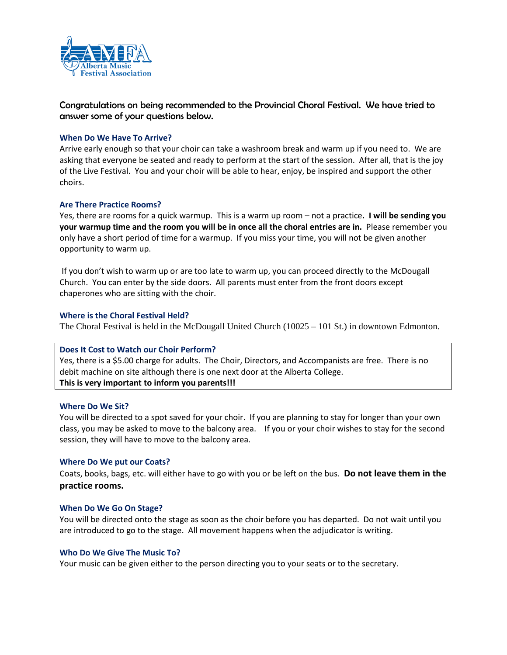

Congratulations on being recommended to the Provincial Choral Festival. We have tried to answer some of your questions below.

## **When Do We Have To Arrive?**

Arrive early enough so that your choir can take a washroom break and warm up if you need to. We are asking that everyone be seated and ready to perform at the start of the session. After all, that is the joy of the Live Festival. You and your choir will be able to hear, enjoy, be inspired and support the other choirs.

# **Are There Practice Rooms?**

Yes, there are rooms for a quick warmup. This is a warm up room – not a practice**. I will be sending you your warmup time and the room you will be in once all the choral entries are in.** Please remember you only have a short period of time for a warmup. If you miss your time, you will not be given another opportunity to warm up.

If you don't wish to warm up or are too late to warm up, you can proceed directly to the McDougall Church. You can enter by the side doors. All parents must enter from the front doors except chaperones who are sitting with the choir.

# **Where is the Choral Festival Held?**

The Choral Festival is held in the McDougall United Church (10025 – 101 St.) in downtown Edmonton.

## **Does It Cost to Watch our Choir Perform?**

Yes, there is a \$5.00 charge for adults. The Choir, Directors, and Accompanists are free. There is no debit machine on site although there is one next door at the Alberta College. **This is very important to inform you parents!!!**

## **Where Do We Sit?**

You will be directed to a spot saved for your choir. If you are planning to stay for longer than your own class, you may be asked to move to the balcony area. If you or your choir wishes to stay for the second session, they will have to move to the balcony area.

## **Where Do We put our Coats?**

Coats, books, bags, etc. will either have to go with you or be left on the bus. **Do not leave them in the practice rooms.** 

## **When Do We Go On Stage?**

You will be directed onto the stage as soon as the choir before you has departed. Do not wait until you are introduced to go to the stage. All movement happens when the adjudicator is writing.

## **Who Do We Give The Music To?**

Your music can be given either to the person directing you to your seats or to the secretary.